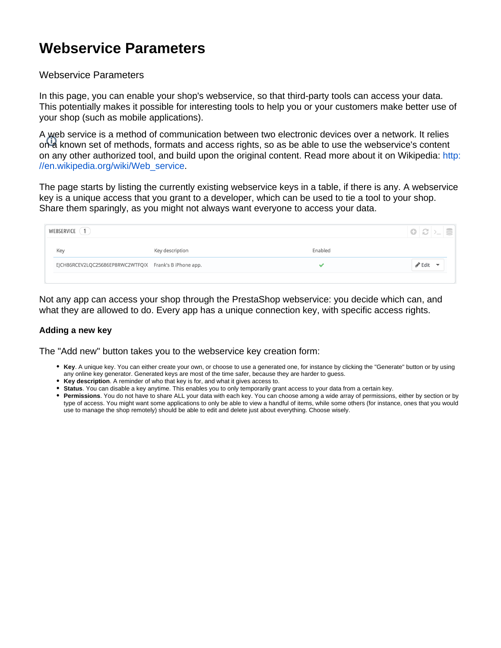## **Webservice Parameters**

## Webservice Parameters

In this page, you can enable your shop's webservice, so that third-party tools can access your data. This potentially makes it possible for interesting tools to help you or your customers make better use of your shop (such as mobile applications).

A web service is a method of communication between two electronic devices over a network. It relies on<sup>1</sup> a known set of methods, formats and access rights, so as be able to use the webservice's content on any other authorized tool, and build upon the original content. Read more about it on Wikipedia: [http:](http://en.wikipedia.org/wiki/Web_service) [//en.wikipedia.org/wiki/Web\\_service.](http://en.wikipedia.org/wiki/Web_service)

The page starts by listing the currently existing webservice keys in a table, if there is any. A webservice key is a unique access that you grant to a developer, which can be used to tie a tool to your shop. Share them sparingly, as you might not always want everyone to access your data.

| $\vert\vert\bullet\vert\varnothing\vert$ ) $\vert\ldots\vert$<br>WEBSERVICE |                 |         |                            |  |  |
|-----------------------------------------------------------------------------|-----------------|---------|----------------------------|--|--|
| Key                                                                         | Key description | Enabled |                            |  |  |
| EJCH86RCEV2LQC25686EP8RWC2WTFQIX Frank's B iPhone app.                      |                 |         | $\blacktriangleright$ Edit |  |  |
|                                                                             |                 |         |                            |  |  |

Not any app can access your shop through the PrestaShop webservice: you decide which can, and what they are allowed to do. Every app has a unique connection key, with specific access rights.

## **Adding a new key**

The "Add new" button takes you to the webservice key creation form:

- **Key**. A unique key. You can either create your own, or choose to use a generated one, for instance by clicking the "Generate" button or by using any online key generator. Generated keys are most of the time safer, because they are harder to guess.
- **Key description**. A reminder of who that key is for, and what it gives access to.
- **Status**. You can disable a key anytime. This enables you to only temporarily grant access to your data from a certain key.
- **Permissions**. You do not have to share ALL your data with each key. You can choose among a wide array of permissions, either by section or by type of access. You might want some applications to only be able to view a handful of items, while some others (for instance, ones that you would use to manage the shop remotely) should be able to edit and delete just about everything. Choose wisely.